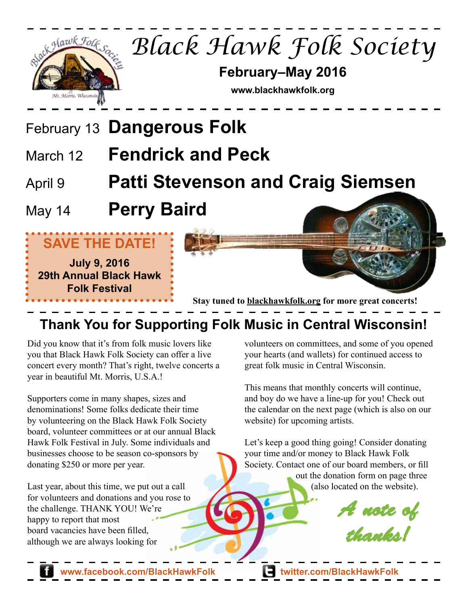

# **Thank You for Supporting Folk Music in Central Wisconsin!**

Did you know that it's from folk music lovers like you that Black Hawk Folk Society can offer a live concert every month? That's right, twelve concerts a year in beautiful Mt. Morris, U.S.A.!

Supporters come in many shapes, sizes and denominations! Some folks dedicate their time by volunteering on the Black Hawk Folk Society board, volunteer committees or at our annual Black Hawk Folk Festival in July. Some individuals and businesses choose to be season co-sponsors by donating \$250 or more per year.

Last year, about this time, we put out a call for volunteers and donations and you rose to the challenge. THANK YOU! We're happy to report that most board vacancies have been filled, although we are always looking for

volunteers on committees, and some of you opened your hearts (and wallets) for continued access to great folk music in Central Wisconsin.

This means that monthly concerts will continue, and boy do we have a line-up for you! Check out the calendar on the next page (which is also on our website) for upcoming artists.

Let's keep a good thing going! Consider donating your time and/or money to Black Hawk Folk Society. Contact one of our board members, or fill out the donation form on page three (also located on the website).

*A note of thanks!*

**www.facebook.com/BlackHawkFolk twitter.com/BlackHawkFolk**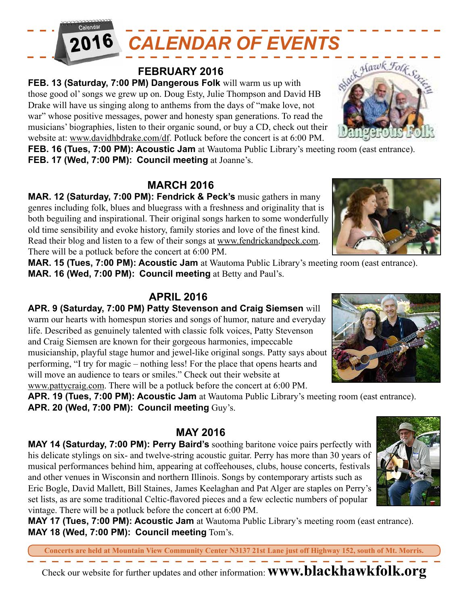

#### **FEBRUARY 2016**

**FEB. 13 (Saturday, 7:00 PM) Dangerous Folk** will warm us up with those good ol' songs we grew up on. Doug Esty, Julie Thompson and David HB Drake will have us singing along to anthems from the days of "make love, not war" whose positive messages, power and honesty span generations. To read the musicians' biographies, listen to their organic sound, or buy a CD, check out their

website at: www.davidhbdrake.com/df. Potluck before the concert is at 6:00 PM.

**FEB. 16 (Tues, 7:00 PM): Acoustic Jam** at Wautoma Public Library's meeting room (east entrance). **FEB. 17 (Wed, 7:00 PM): Council meeting** at Joanne's.

# **MARCH 2016**

**MAR. 12 (Saturday, 7:00 PM): Fendrick & Peck's** music gathers in many genres including folk, blues and bluegrass with a freshness and originality that is both beguiling and inspirational. Their original songs harken to some wonderfully old time sensibility and evoke history, family stories and love of the finest kind. Read their blog and listen to a few of their songs at www.fendrickandpeck.com. There will be a potluck before the concert at 6:00 PM.

**MAR. 15 (Tues, 7:00 PM): Acoustic Jam** at Wautoma Public Library's meeting room (east entrance). **MAR. 16 (Wed, 7:00 PM): Council meeting** at Betty and Paul's.

# **APRIL 2016**

**APR. 9 (Saturday, 7:00 PM) Patty Stevenson and Craig Siemsen** will warm our hearts with homespun stories and songs of humor, nature and everyday life. Described as genuinely talented with classic folk voices, Patty Stevenson and Craig Siemsen are known for their gorgeous harmonies, impeccable musicianship, playful stage humor and jewel-like original songs. Patty says about performing, "I try for magic – nothing less! For the place that opens hearts and will move an audience to tears or smiles." Check out their website at www.pattycraig.com. There will be a potluck before the concert at 6:00 PM.

**APR. 19 (Tues, 7:00 PM): Acoustic Jam** at Wautoma Public Library's meeting room (east entrance). **APR. 20 (Wed, 7:00 PM): Council meeting** Guy's.

#### **MAY 2016**

**MAY 14 (Saturday, 7:00 PM): Perry Baird's** soothing baritone voice pairs perfectly with his delicate stylings on six- and twelve-string acoustic guitar. Perry has more than 30 years of musical performances behind him, appearing at coffeehouses, clubs, house concerts, festivals and other venues in Wisconsin and northern Illinois. Songs by contemporary artists such as Eric Bogle, David Mallett, Bill Staines, James Keelaghan and Pat Alger are staples on Perry's set lists, as are some traditional Celtic-flavored pieces and a few eclectic numbers of popular vintage. There will be a potluck before the concert at 6:00 PM.

**MAY 17 (Tues, 7:00 PM): Acoustic Jam** at Wautoma Public Library's meeting room (east entrance). **MAY 18 (Wed, 7:00 PM): Council meeting** Tom's.

**Concerts are held at Mountain View Community Center N3137 21st Lane just off Highway 152, south of Mt. Morris.**

Check our website for further updates and other information: **www.blackhawkfolk.org**







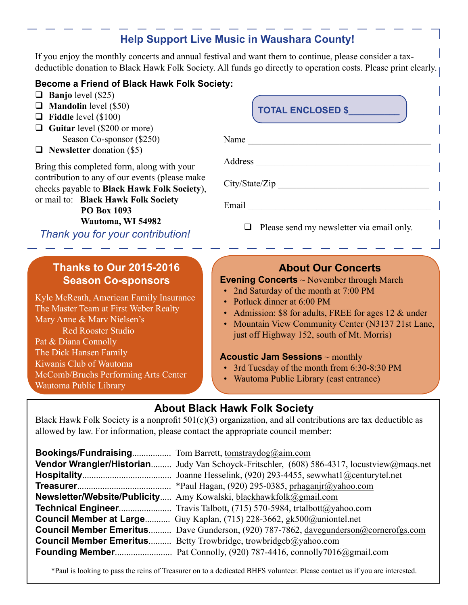# **Help Support Live Music in Waushara County!**

If you enjoy the monthly concerts and annual festival and want them to continue, please consider a taxdeductible donation to Black Hawk Folk Society. All funds go directly to operation costs. Please print clearly.

#### **Become a Friend of Black Hawk Folk Society:**

- **Banjo** level (\$25)
- **Mandolin** level (\$50)
- **Fiddle** level (\$100)
- **Guitar** level (\$200 or more) Season Co-sponsor (\$250)
- **Newsletter** donation (\$5)

Bring this completed form, along with your contribution to any of our events (please make checks payable to **Black Hawk Folk Society**), or mail to: **Black Hawk Folk Society**

 **PO Box 1093**

 **Wautoma, WI 54982**

*Thank you for your contribution!*

## **Thanks to Our 2015-2016 Season Co-sponsors**

Kyle McReath, American Family Insurance The Master Team at First Weber Realty Mary Anne & Marv Nielsen's Red Rooster Studio Pat & Diana Connolly The Dick Hansen Family Kiwanis Club of Wautoma McComb/Bruchs Performing Arts Center Wautoma Public Library

# Name \_\_\_\_\_\_\_\_\_\_\_\_\_\_\_\_\_\_\_\_\_\_\_\_\_\_\_\_\_\_\_\_\_\_\_\_\_\_\_\_ Address \_\_\_\_\_\_\_\_\_\_\_\_\_\_\_\_\_\_\_\_\_\_\_\_\_\_\_\_\_\_\_\_\_\_\_\_\_\_ City/State/Zip Email  $\Box$  $\Box$  Please send my newsletter via email only. **TOTAL ENCLOSED \$\_\_\_\_\_\_\_\_\_\_**

### **About Our Concerts**

#### **Evening Concerts** ~ November through March

- 2nd Saturday of the month at 7:00 PM
- Potluck dinner at 6:00 PM
- Admission: \$8 for adults, FREE for ages 12 & under
- Mountain View Community Center (N3137 21st Lane, just off Highway 152, south of Mt. Morris)

#### **Acoustic Jam Sessions** ~ monthly

- 3rd Tuesday of the month from 6:30-8:30 PM
- Wautoma Public Library (east entrance)

## **About Black Hawk Folk Society**

Black Hawk Folk Society is a nonprofit  $501(c)(3)$  organization, and all contributions are tax deductible as allowed by law. For information, please contact the appropriate council member:

| Vendor Wrangler/Historian Judy Van Schoyck-Fritschler, (608) 586-4317, <u>locustview@mags.net</u> |
|---------------------------------------------------------------------------------------------------|
| Joanne Hesselink, (920) 293-4455, sewwhat1@centurytel.net                                         |
| *Paul Hagan, (920) 295-0385, prhaganjr@yahoo.com                                                  |
| Newsletter/Website/Publicity Amy Kowalski, blackhawkfolk@gmail.com                                |
| <b>Technical Engineer</b> Travis Talbott, (715) 570-5984, trtalbott@yahoo.com                     |
| <b>Council Member at Large</b> Guy Kaplan, (715) 228-3662, gk500@uniontel.net                     |
| <b>Council Member Emeritus</b> Dave Gunderson, (920) 787-7862, davegunderson@cornerofgs.com       |
| <b>Council Member Emeritus</b> Betty Trowbridge, trowbridgeb@yahoo.com                            |
|                                                                                                   |

\*Paul is looking to pass the reins of Treasurer on to a dedicated BHFS volunteer. Please contact us if you are interested.